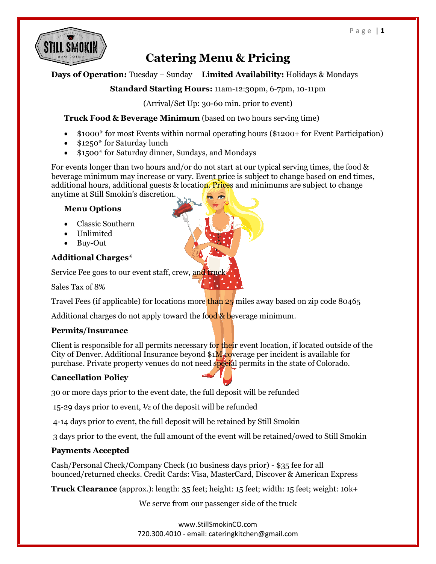

# **Catering Menu & Pricing**

### **Days of Operation:** Tuesday – Sunday **Limited Availability:** Holidays & Mondays

#### **Standard Starting Hours:** 11am-12:30pm, 6-7pm, 10-11pm

(Arrival/Set Up: 30-60 min. prior to event)

#### **Truck Food & Beverage Minimum** (based on two hours serving time)

- $$1000*$  for most Events within normal operating hours (\$1200+ for Event Participation)
- \$1250\* for Saturday lunch
- \$1500\* for Saturday dinner, Sundays, and Mondays

For events longer than two hours and/or do not start at our typical serving times, the food & beverage minimum may increase or vary. Event price is subject to change based on end times, additional hours, additional guests & location. Prices and minimums are subject to change anytime at Still Smokin's discretion.

#### **Menu Options**

- Classic Southern
- Unlimited
- Buy-Out

### **Additional Charges\***

Service Fee goes to our event staff, crew, and truck

Sales Tax of 8%

Travel Fees (if applicable) for locations more than 25 miles away based on zip code 80465

Additional charges do not apply toward the food & beverage minimum.

#### **Permits/Insurance**

Client is responsible for all permits necessary for their event location, if located outside of the City of Denver. Additional Insurance beyond  $\frac{1}{4}M_{c}$  coverage per incident is available for purchase. Private property venues do not need special permits in the state of Colorado.

#### **Cancellation Policy**

30 or more days prior to the event date, the full deposit will be refunded

15-29 days prior to event, ½ of the deposit will be refunded

4-14 days prior to event, the full deposit will be retained by Still Smokin

3 days prior to the event, the full amount of the event will be retained/owed to Still Smokin

#### **Payments Accepted**

Cash/Personal Check/Company Check (10 business days prior) - \$35 fee for all bounced/returned checks. Credit Cards: Visa, MasterCard, Discover & American Express

**Truck Clearance** (approx.): length: 35 feet; height: 15 feet; width: 15 feet; weight: 10k+

We serve from our passenger side of the truck

www.StillSmokinCO.com 720.300.4010 - email: cateringkitchen@gmail.com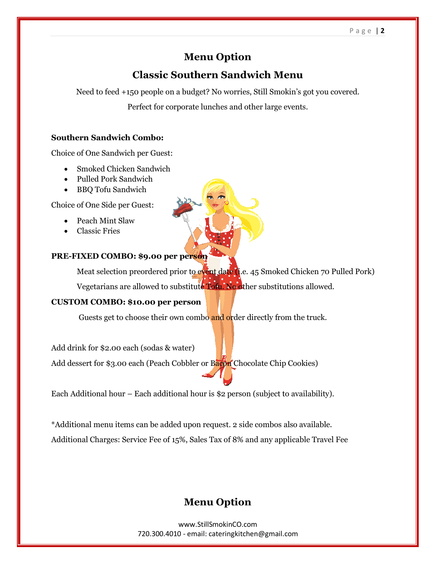#### P a g e | **2**

## **Menu Option**

## **Classic Southern Sandwich Menu**

Need to feed +150 people on a budget? No worries, Still Smokin's got you covered.

Perfect for corporate lunches and other large events.

#### **Southern Sandwich Combo:**

Choice of One Sandwich per Guest:

- Smoked Chicken Sandwich
- Pulled Pork Sandwich
- BBQ Tofu Sandwich

Choice of One Side per Guest:

- Peach Mint Slaw
- Classic Fries

#### **PRE-FIXED COMBO: \$9.00 per person**

Meat selection preordered prior to event date (i.e. 45 Smoked Chicken 70 Pulled Pork) Vegetarians are allowed to substitute Tofu. No other substitutions allowed.

#### **CUSTOM COMBO: \$10.00 per person**

Guests get to choose their own combo and order directly from the truck.

Add drink for \$2.00 each (sodas & water)

Add dessert for \$3.00 each (Peach Cobbler or Bacon Chocolate Chip Cookies)

Each Additional hour – Each additional hour is \$2 person (subject to availability).

\*Additional menu items can be added upon request. 2 side combos also available.

Additional Charges: Service Fee of 15%, Sales Tax of 8% and any applicable Travel Fee

## **Menu Option**

www.StillSmokinCO.com 720.300.4010 - email: cateringkitchen@gmail.com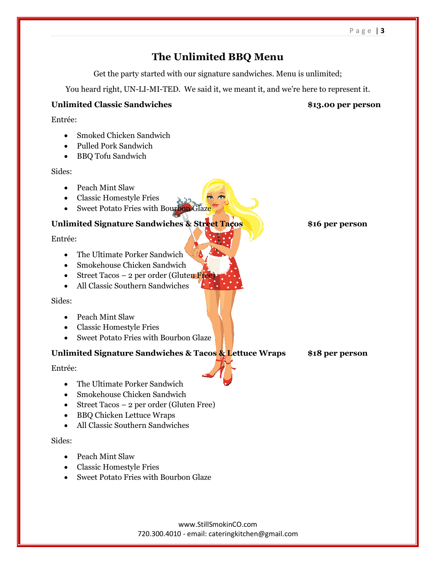## **The Unlimited BBQ Menu**

Get the party started with our signature sandwiches. Menu is unlimited;

You heard right, UN-LI-MI-TED. We said it, we meant it, and we're here to represent it.

#### **Unlimited Classic Sandwiches \$13.00 per person**

Entrée:

- Smoked Chicken Sandwich
- Pulled Pork Sandwich
- BBQ Tofu Sandwich

Sides:

- Peach Mint Slaw
- Classic Homestyle Fries
- Sweet Potato Fries with Bourbon Glaze

#### **Unlimited Signature Sandwiches & Street Tacos \$16 per person**

Entrée:

- The Ultimate Porker Sandwich
- Smokehouse Chicken Sandwich
- Street Tacos 2 per order (Gluten Free
- All Classic Southern Sandwiches

Sides:

- Peach Mint Slaw
- Classic Homestyle Fries
- Sweet Potato Fries with Bourbon Glaze

#### **Unlimited Signature Sandwiches & Tacos & Lettuce Wraps \$18 per person**

Entrée:

- The Ultimate Porker Sandwich
- Smokehouse Chicken Sandwich
- Street Tacos 2 per order (Gluten Free)
- BBQ Chicken Lettuce Wraps
- All Classic Southern Sandwiches

Sides:

- Peach Mint Slaw
- Classic Homestyle Fries
- Sweet Potato Fries with Bourbon Glaze

www.StillSmokinCO.com 720.300.4010 - email: cateringkitchen@gmail.com

P a g e | **3**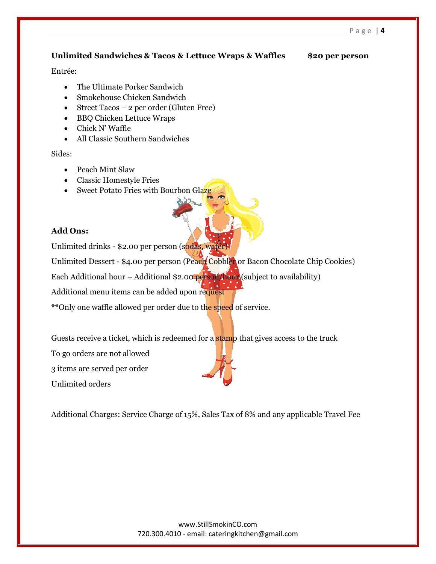#### **Unlimited Sandwiches & Tacos & Lettuce Wraps & Waffles \$20 per person**

#### Entrée:

- The Ultimate Porker Sandwich
- Smokehouse Chicken Sandwich
- Street Tacos 2 per order (Gluten Free)
- BBQ Chicken Lettuce Wraps
- Chick N' Waffle
- All Classic Southern Sandwiches

#### Sides:

- Peach Mint Slaw
- Classic Homestyle Fries
- Sweet Potato Fries with Bourbon Glaze

#### **Add Ons:**

Unlimited drinks - \$2.00 per person (sodas, water

Unlimited Dessert - \$4.00 per person (Peach Cobbler or Bacon Chocolate Chip Cookies)

Each Additional hour – Additional  $$2.00$  person/hour (subject to availability)

Additional menu items can be added upon request

\*\*Only one waffle allowed per order due to the speed of service.

Guests receive a ticket, which is redeemed for a stamp that gives access to the truck

To go orders are not allowed

3 items are served per order

Unlimited orders

Additional Charges: Service Charge of 15%, Sales Tax of 8% and any applicable Travel Fee